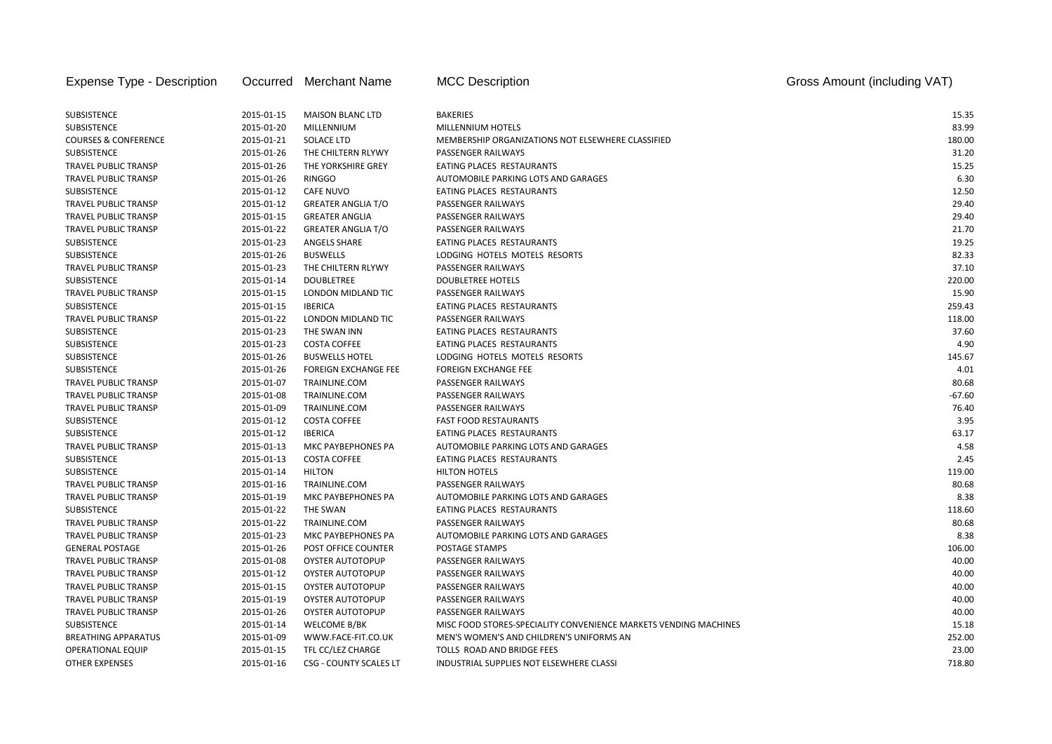| Expense Type - Description      |            | Occurred Merchant Name        | <b>MCC Description</b>                                           | Gross Amount (including VAT) |
|---------------------------------|------------|-------------------------------|------------------------------------------------------------------|------------------------------|
|                                 |            |                               |                                                                  |                              |
| <b>SUBSISTENCE</b>              | 2015-01-15 | <b>MAISON BLANC LTD</b>       | <b>BAKERIES</b>                                                  | 15.35                        |
| <b>SUBSISTENCE</b>              | 2015-01-20 | MILLENNIUM                    | MILLENNIUM HOTELS                                                | 83.99                        |
| <b>COURSES &amp; CONFERENCE</b> | 2015-01-21 | SOLACE LTD                    | MEMBERSHIP ORGANIZATIONS NOT ELSEWHERE CLASSIFIED                | 180.00                       |
| <b>SUBSISTENCE</b>              | 2015-01-26 | THE CHILTERN RLYWY            | <b>PASSENGER RAILWAYS</b>                                        | 31.20                        |
| TRAVEL PUBLIC TRANSP            | 2015-01-26 | THE YORKSHIRE GREY            | <b>EATING PLACES RESTAURANTS</b>                                 | 15.25                        |
| <b>TRAVEL PUBLIC TRANSP</b>     | 2015-01-26 | <b>RINGGO</b>                 | AUTOMOBILE PARKING LOTS AND GARAGES                              | 6.30                         |
| <b>SUBSISTENCE</b>              | 2015-01-12 | <b>CAFE NUVO</b>              | EATING PLACES RESTAURANTS                                        | 12.50                        |
| TRAVEL PUBLIC TRANSP            | 2015-01-12 | <b>GREATER ANGLIA T/O</b>     | PASSENGER RAILWAYS                                               | 29.40                        |
| <b>TRAVEL PUBLIC TRANSP</b>     | 2015-01-15 | <b>GREATER ANGLIA</b>         | PASSENGER RAILWAYS                                               | 29.40                        |
| TRAVEL PUBLIC TRANSP            | 2015-01-22 | <b>GREATER ANGLIA T/O</b>     | PASSENGER RAILWAYS                                               | 21.70                        |
| <b>SUBSISTENCE</b>              | 2015-01-23 | <b>ANGELS SHARE</b>           | EATING PLACES RESTAURANTS                                        | 19.25                        |
| <b>SUBSISTENCE</b>              | 2015-01-26 | <b>BUSWELLS</b>               | LODGING HOTELS MOTELS RESORTS                                    | 82.33                        |
| TRAVEL PUBLIC TRANSP            | 2015-01-23 | THE CHILTERN RLYWY            | PASSENGER RAILWAYS                                               | 37.10                        |
| <b>SUBSISTENCE</b>              | 2015-01-14 | <b>DOUBLETREE</b>             | <b>DOUBLETREE HOTELS</b>                                         | 220.00                       |
| TRAVEL PUBLIC TRANSP            | 2015-01-15 | LONDON MIDLAND TIC            | PASSENGER RAILWAYS                                               | 15.90                        |
| <b>SUBSISTENCE</b>              | 2015-01-15 | <b>IBERICA</b>                | EATING PLACES RESTAURANTS                                        | 259.43                       |
| TRAVEL PUBLIC TRANSP            | 2015-01-22 | LONDON MIDLAND TIC            | <b>PASSENGER RAILWAYS</b>                                        | 118.00                       |
| <b>SUBSISTENCE</b>              | 2015-01-23 | THE SWAN INN                  | EATING PLACES RESTAURANTS                                        | 37.60                        |
| <b>SUBSISTENCE</b>              | 2015-01-23 | <b>COSTA COFFEE</b>           | EATING PLACES RESTAURANTS                                        | 4.90                         |
| SUBSISTENCE                     | 2015-01-26 | <b>BUSWELLS HOTEL</b>         | LODGING HOTELS MOTELS RESORTS                                    | 145.67                       |
| SUBSISTENCE                     | 2015-01-26 | <b>FOREIGN EXCHANGE FEE</b>   | <b>FOREIGN EXCHANGE FEE</b>                                      | 4.01                         |
| <b>TRAVEL PUBLIC TRANSP</b>     | 2015-01-07 | TRAINLINE.COM                 | PASSENGER RAILWAYS                                               | 80.68                        |
| <b>TRAVEL PUBLIC TRANSP</b>     | 2015-01-08 | TRAINLINE.COM                 | PASSENGER RAILWAYS                                               | $-67.60$                     |
| <b>TRAVEL PUBLIC TRANSP</b>     | 2015-01-09 | TRAINLINE.COM                 | PASSENGER RAILWAYS                                               | 76.40                        |
| <b>SUBSISTENCE</b>              | 2015-01-12 | <b>COSTA COFFEE</b>           | <b>FAST FOOD RESTAURANTS</b>                                     | 3.95                         |
| <b>SUBSISTENCE</b>              | 2015-01-12 | <b>IBERICA</b>                | EATING PLACES RESTAURANTS                                        | 63.17                        |
| <b>TRAVEL PUBLIC TRANSP</b>     | 2015-01-13 | MKC PAYBEPHONES PA            | <b>AUTOMOBILE PARKING LOTS AND GARAGES</b>                       | 4.58                         |
| SUBSISTENCE                     | 2015-01-13 | <b>COSTA COFFEE</b>           | EATING PLACES RESTAURANTS                                        | 2.45                         |
| SUBSISTENCE                     | 2015-01-14 | <b>HILTON</b>                 | <b>HILTON HOTELS</b>                                             | 119.00                       |
| <b>TRAVEL PUBLIC TRANSP</b>     | 2015-01-16 | TRAINLINE.COM                 | PASSENGER RAILWAYS                                               | 80.68                        |
| TRAVEL PUBLIC TRANSP            | 2015-01-19 | MKC PAYBEPHONES PA            | AUTOMOBILE PARKING LOTS AND GARAGES                              | 8.38                         |
| <b>SUBSISTENCE</b>              | 2015-01-22 | THE SWAN                      | EATING PLACES RESTAURANTS                                        | 118.60                       |
| TRAVEL PUBLIC TRANSP            | 2015-01-22 | TRAINLINE.COM                 | <b>PASSENGER RAILWAYS</b>                                        | 80.68                        |
| <b>TRAVEL PUBLIC TRANSP</b>     | 2015-01-23 | MKC PAYBEPHONES PA            | AUTOMOBILE PARKING LOTS AND GARAGES                              | 8.38                         |
| <b>GENERAL POSTAGE</b>          | 2015-01-26 | POST OFFICE COUNTER           | POSTAGE STAMPS                                                   | 106.00                       |
| TRAVEL PUBLIC TRANSP            | 2015-01-08 | <b>OYSTER AUTOTOPUP</b>       | PASSENGER RAILWAYS                                               | 40.00                        |
| TRAVEL PUBLIC TRANSP            | 2015-01-12 | <b>OYSTER AUTOTOPUP</b>       | PASSENGER RAILWAYS                                               | 40.00                        |
| <b>TRAVEL PUBLIC TRANSP</b>     | 2015-01-15 | OYSTER AUTOTOPUP              | PASSENGER RAILWAYS                                               | 40.00                        |
| <b>TRAVEL PUBLIC TRANSP</b>     | 2015-01-19 | <b>OYSTER AUTOTOPUP</b>       | PASSENGER RAILWAYS                                               | 40.00                        |
| <b>TRAVEL PUBLIC TRANSP</b>     | 2015-01-26 | <b>OYSTER AUTOTOPUP</b>       | <b>PASSENGER RAILWAYS</b>                                        | 40.00                        |
| <b>SUBSISTENCE</b>              | 2015-01-14 | WELCOME B/BK                  | MISC FOOD STORES-SPECIALITY CONVENIENCE MARKETS VENDING MACHINES | 15.18                        |
| <b>BREATHING APPARATUS</b>      | 2015-01-09 | WWW.FACE-FIT.CO.UK            | MEN'S WOMEN'S AND CHILDREN'S UNIFORMS AN                         | 252.00                       |
| <b>OPERATIONAL EQUIP</b>        | 2015-01-15 | TFL CC/LEZ CHARGE             | TOLLS ROAD AND BRIDGE FEES                                       | 23.00                        |
| <b>OTHER EXPENSES</b>           | 2015-01-16 | <b>CSG - COUNTY SCALES LT</b> | INDUSTRIAL SUPPLIES NOT ELSEWHERE CLASSI                         | 718.80                       |